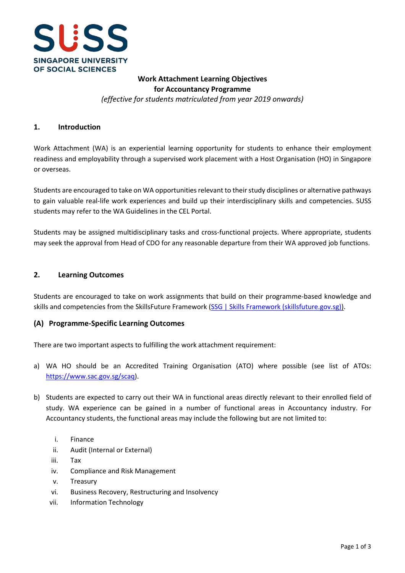

## **Work Attachment Learning Objectives for Accountancy Programme** *(effective for students matriculated from year 2019 onwards)*

#### **1. Introduction**

Work Attachment (WA) is an experiential learning opportunity for students to enhance their employment readiness and employability through a supervised work placement with a Host Organisation (HO) in Singapore or overseas.

Students are encouraged to take on WA opportunities relevant to their study disciplines or alternative pathways to gain valuable real-life work experiences and build up their interdisciplinary skills and competencies. SUSS students may refer to the WA Guidelines in the CEL Portal.

Students may be assigned multidisciplinary tasks and cross-functional projects. Where appropriate, students may seek the approval from Head of CDO for any reasonable departure from their WA approved job functions.

#### **2. Learning Outcomes**

Students are encouraged to take on work assignments that build on their programme-based knowledge and skills and competencies from the SkillsFuture Framework [\(SSG | Skills Framework \(skillsfuture.gov.sg\)\)](https://www.skillsfuture.gov.sg/skills-framework).

#### **(A) Programme-Specific Learning Outcomes**

There are two important aspects to fulfilling the work attachment requirement:

- a) WA HO should be an Accredited Training Organisation (ATO) where possible (see list of ATOs: [https://www.sac.gov.sg/scaq\)](https://www.sac.gov.sg/scaq).
- b) Students are expected to carry out their WA in functional areas directly relevant to their enrolled field of study. WA experience can be gained in a number of functional areas in Accountancy industry. For Accountancy students, the functional areas may include the following but are not limited to:
	- i. Finance
	- ii. Audit (Internal or External)
	- iii. Tax
	- iv. Compliance and Risk Management
	- v. Treasury
	- vi. Business Recovery, Restructuring and Insolvency
	- vii. Information Technology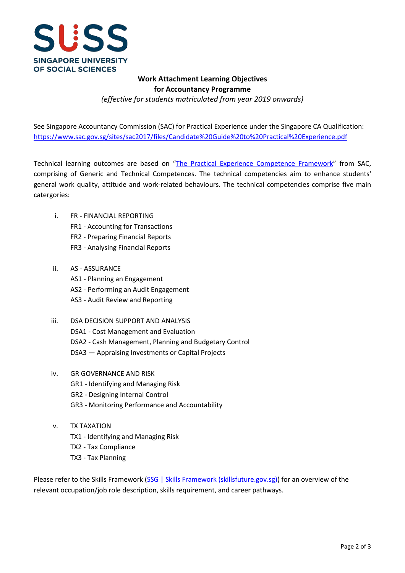

## **Work Attachment Learning Objectives for Accountancy Programme** *(effective for students matriculated from year 2019 onwards)*

See Singapore Accountancy Commission (SAC) for Practical Experience under the Singapore CA Qualification: <https://www.sac.gov.sg/sites/sac2017/files/Candidate%20Guide%20to%20Practical%20Experience.pdf>

Technical learning outcomes are based on ["The Practical Experience Competence Framework"](https://www.sac.gov.sg/sites/sac2017/files/Part%202%20-%20What%20is%20the%20Practical%20Experience%20Competence%20Framework.pdf) from SAC, comprising of Generic and Technical Competences. The technical competencies aim to enhance students' general work quality, attitude and work-related behaviours. The technical competencies comprise five main catergories:

- i. FR FINANCIAL REPORTING
	- FR1 Accounting for Transactions
	- FR2 Preparing Financial Reports
	- FR3 Analysing Financial Reports
- ii. AS ASSURANCE
	- AS1 Planning an Engagement
	- AS2 Performing an Audit Engagement
	- AS3 Audit Review and Reporting
- iii. DSA DECISION SUPPORT AND ANALYSIS DSA1 - Cost Management and Evaluation DSA2 - Cash Management, Planning and Budgetary Control DSA3 — Appraising Investments or Capital Projects
- iv. GR GOVERNANCE AND RISK
	- GR1 Identifying and Managing Risk
	- GR2 Designing Internal Control
	- GR3 Monitoring Performance and Accountability
- v. TX TAXATION TX1 - Identifying and Managing Risk TX2 - Tax Compliance TX3 - Tax Planning

Please refer to the Skills Framework [\(SSG | Skills Framework \(skillsfuture.gov.sg\)\)](https://www.skillsfuture.gov.sg/skills-framework) for an overview of the relevant occupation/job role description, skills requirement, and career pathways.